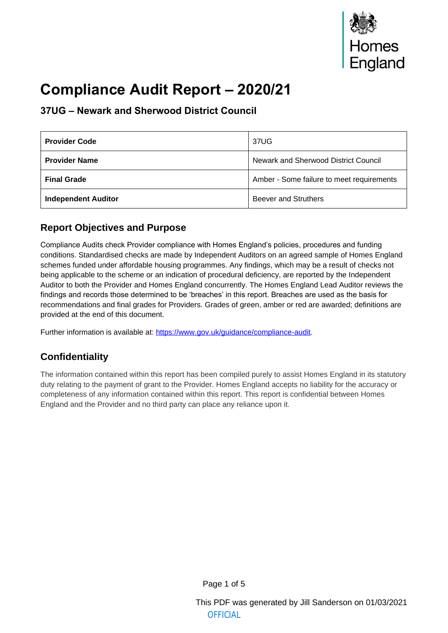# **Compliance Audit Report – 2020/21**

# **37UG – Newark and Sherwood District Council**

| <b>Provider Code</b>       | 37UG                                      |
|----------------------------|-------------------------------------------|
| <b>Provider Name</b>       | Newark and Sherwood District Council      |
| <b>Final Grade</b>         | Amber - Some failure to meet requirements |
| <b>Independent Auditor</b> | <b>Beever and Struthers</b>               |

# **Report Objectives and Purpose**

Compliance Audits check Provider compliance with Homes England's policies, procedures and funding conditions. Standardised checks are made by Independent Auditors on an agreed sample of Homes England schemes funded under affordable housing programmes. Any findings, which may be a result of checks not being applicable to the scheme or an indication of procedural deficiency, are reported by the Independent Auditor to both the Provider and Homes England concurrently. The Homes England Lead Auditor reviews the findings and records those determined to be 'breaches' in this report. Breaches are used as the basis for recommendations and final grades for Providers. Grades of green, amber or red are awarded; definitions are provided at the end of this document.

Further information is available at: https://www.gov.uk/guidance/compliance-audit.

# **Confidentiality**

The information contained within t[his report has been compiled purely to assist Ho](https://www.gov.uk/guidance/compliance-audit)mes England in its statutory duty relating to the payment of grant to the Provider. Homes England accepts no liability for the accuracy or completeness of any information contained within this report. This report is confidential between Homes England and the Provider and no third party can place any reliance upon it.

Page 1 of 5

This PDF was generated by Jill Sanderson on 01/03/2021 **OFFICIAL**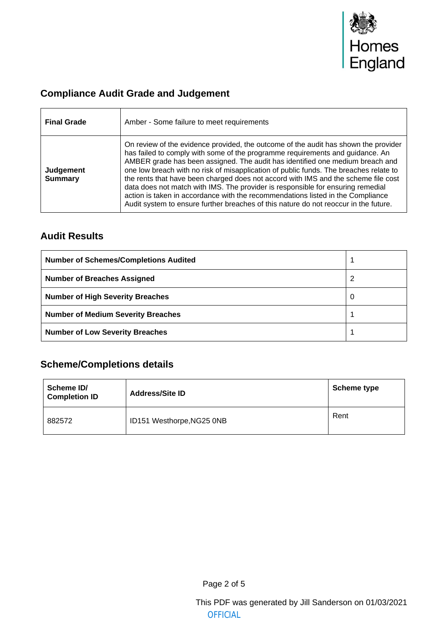

# **Compliance Audit Grade and Judgement**

| <b>Final Grade</b>          | Amber - Some failure to meet requirements                                                                                                                                                                                                                                                                                                                                                                                                                                                                                                                                                                                                                                                          |
|-----------------------------|----------------------------------------------------------------------------------------------------------------------------------------------------------------------------------------------------------------------------------------------------------------------------------------------------------------------------------------------------------------------------------------------------------------------------------------------------------------------------------------------------------------------------------------------------------------------------------------------------------------------------------------------------------------------------------------------------|
| Judgement<br><b>Summary</b> | On review of the evidence provided, the outcome of the audit has shown the provider<br>has failed to comply with some of the programme requirements and guidance. An<br>AMBER grade has been assigned. The audit has identified one medium breach and<br>one low breach with no risk of misapplication of public funds. The breaches relate to<br>the rents that have been charged does not accord with IMS and the scheme file cost<br>data does not match with IMS. The provider is responsible for ensuring remedial<br>action is taken in accordance with the recommendations listed in the Compliance<br>Audit system to ensure further breaches of this nature do not reoccur in the future. |

## **Audit Results**

| <b>Number of Schemes/Completions Audited</b> |  |
|----------------------------------------------|--|
| <b>Number of Breaches Assigned</b>           |  |
| <b>Number of High Severity Breaches</b>      |  |
| <b>Number of Medium Severity Breaches</b>    |  |
| <b>Number of Low Severity Breaches</b>       |  |

# **Scheme/Completions details**

| Scheme ID/<br><b>Completion ID</b> | <b>Address/Site ID</b>    | <b>Scheme type</b> |
|------------------------------------|---------------------------|--------------------|
| 882572                             | ID151 Westhorpe, NG25 0NB | Rent               |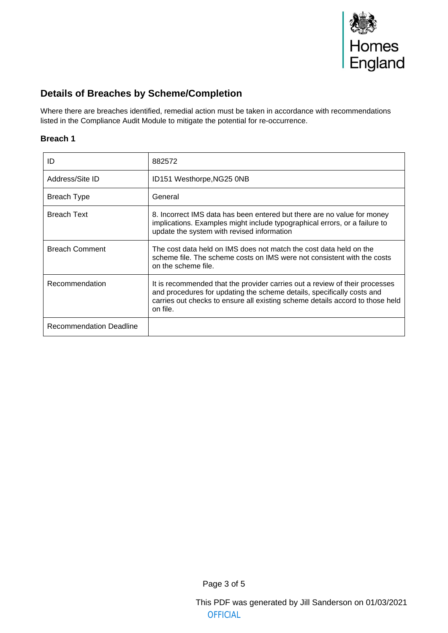

## **Details of Breaches by Scheme/Completion**

Where there are breaches identified, remedial action must be taken in accordance with recommendations listed in the Compliance Audit Module to mitigate the potential for re-occurrence.

#### **Breach 1**

| ID                      | 882572                                                                                                                                                                                                                                             |
|-------------------------|----------------------------------------------------------------------------------------------------------------------------------------------------------------------------------------------------------------------------------------------------|
| Address/Site ID         | ID151 Westhorpe, NG25 0NB                                                                                                                                                                                                                          |
| Breach Type             | General                                                                                                                                                                                                                                            |
| <b>Breach Text</b>      | 8. Incorrect IMS data has been entered but there are no value for money<br>implications. Examples might include typographical errors, or a failure to<br>update the system with revised information                                                |
| <b>Breach Comment</b>   | The cost data held on IMS does not match the cost data held on the<br>scheme file. The scheme costs on IMS were not consistent with the costs<br>on the scheme file.                                                                               |
| Recommendation          | It is recommended that the provider carries out a review of their processes<br>and procedures for updating the scheme details, specifically costs and<br>carries out checks to ensure all existing scheme details accord to those held<br>on file. |
| Recommendation Deadline |                                                                                                                                                                                                                                                    |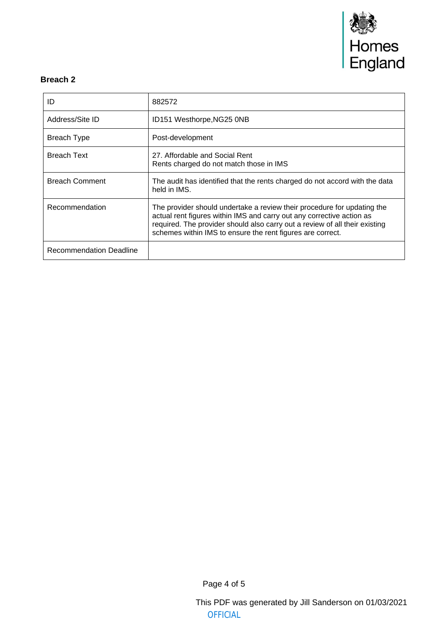

#### **Breach 2**

| ID                      | 882572                                                                                                                                                                                                                                                                                        |
|-------------------------|-----------------------------------------------------------------------------------------------------------------------------------------------------------------------------------------------------------------------------------------------------------------------------------------------|
| Address/Site ID         | ID151 Westhorpe, NG25 0NB                                                                                                                                                                                                                                                                     |
| Breach Type             | Post-development                                                                                                                                                                                                                                                                              |
| <b>Breach Text</b>      | 27. Affordable and Social Rent<br>Rents charged do not match those in IMS                                                                                                                                                                                                                     |
| <b>Breach Comment</b>   | The audit has identified that the rents charged do not accord with the data<br>held in IMS.                                                                                                                                                                                                   |
| Recommendation          | The provider should undertake a review their procedure for updating the<br>actual rent figures within IMS and carry out any corrective action as<br>required. The provider should also carry out a review of all their existing<br>schemes within IMS to ensure the rent figures are correct. |
| Recommendation Deadline |                                                                                                                                                                                                                                                                                               |